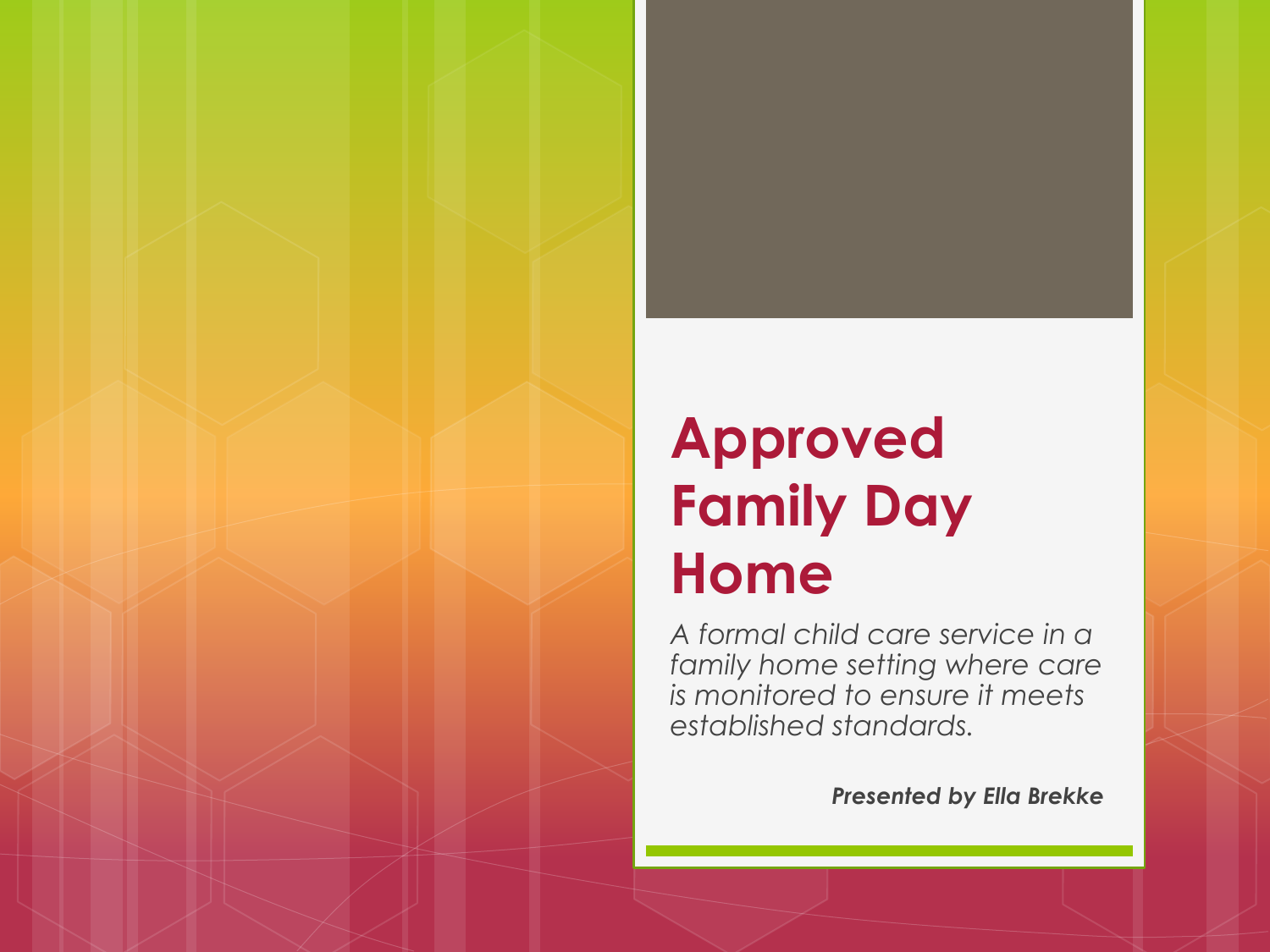### **Approved Family Day Home**

*A formal child care service in a family home setting where care is monitored to ensure it meets established standards.*

*Presented by Ella Brekke*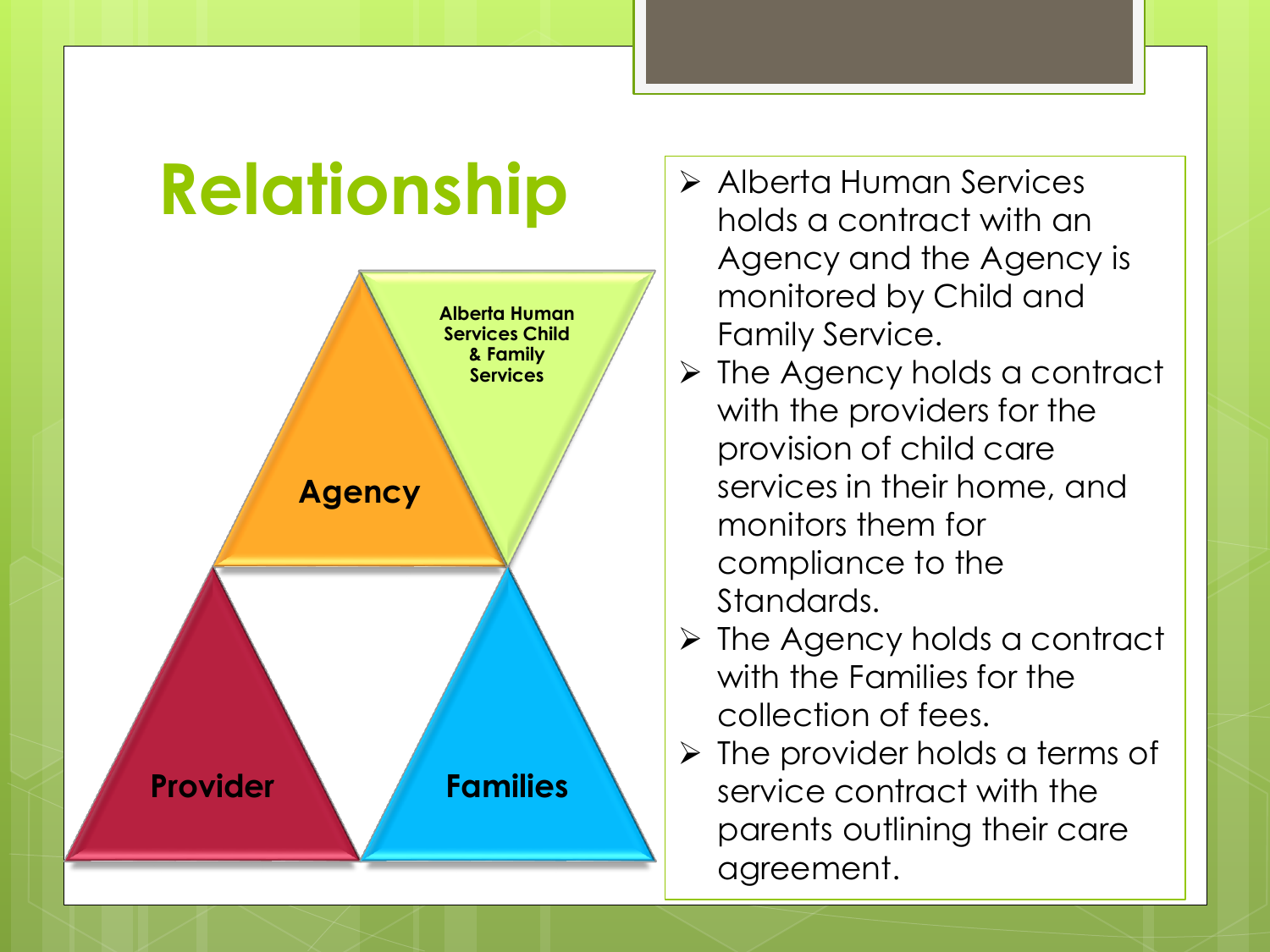## **Relationship**



- Alberta Human Services holds a contract with an Agency and the Agency is monitored by Child and Family Service.
- $\triangleright$  The Agency holds a contract with the providers for the provision of child care services in their home, and monitors them for compliance to the Standards.
- $\triangleright$  The Agency holds a contract with the Families for the collection of fees.
- $\triangleright$  The provider holds a terms of service contract with the parents outlining their care agreement.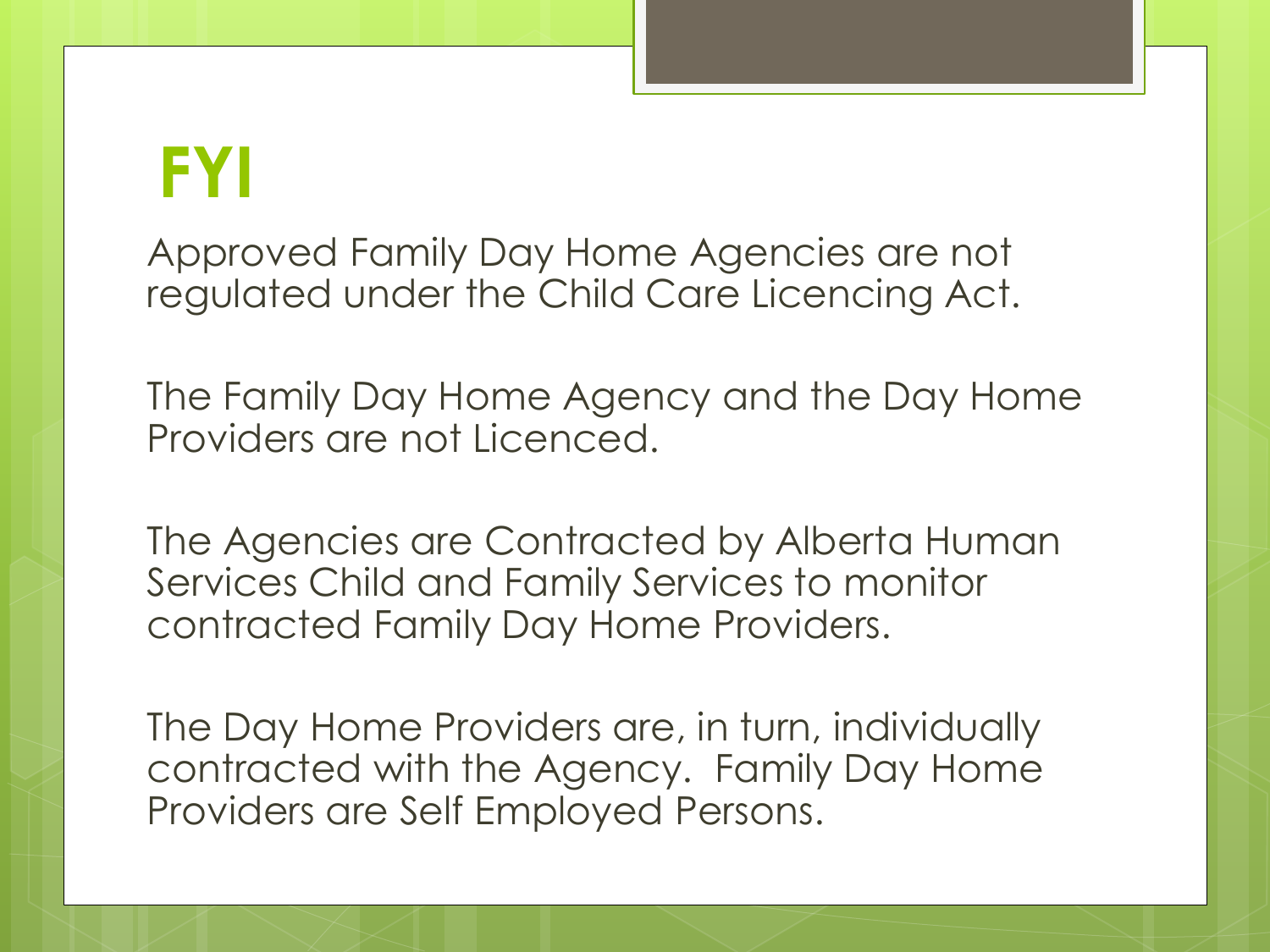### **FYI**

Approved Family Day Home Agencies are not regulated under the Child Care Licencing Act.

The Family Day Home Agency and the Day Home Providers are not Licenced.

The Agencies are Contracted by Alberta Human Services Child and Family Services to monitor contracted Family Day Home Providers.

The Day Home Providers are, in turn, individually contracted with the Agency. Family Day Home Providers are Self Employed Persons.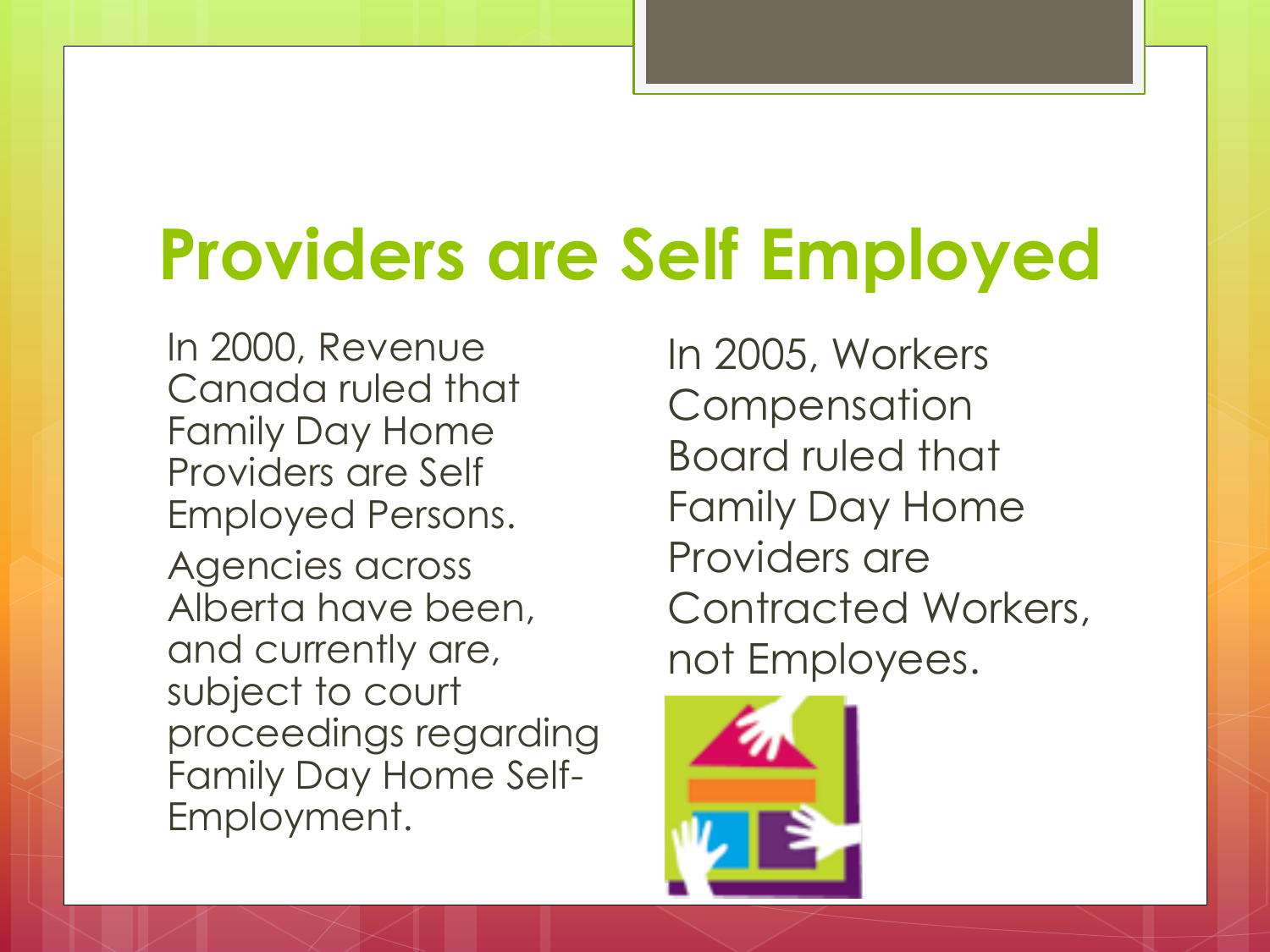## **Providers are Self Employed**

In 2000, Revenue Canada ruled that Family Day Home Providers are Self Employed Persons. Agencies across Alberta have been, and currently are, subject to court proceedings regarding Family Day Home Self-Employment.

In 2005, Workers **Compensation** Board ruled that Family Day Home Providers are Contracted Workers, not Employees.

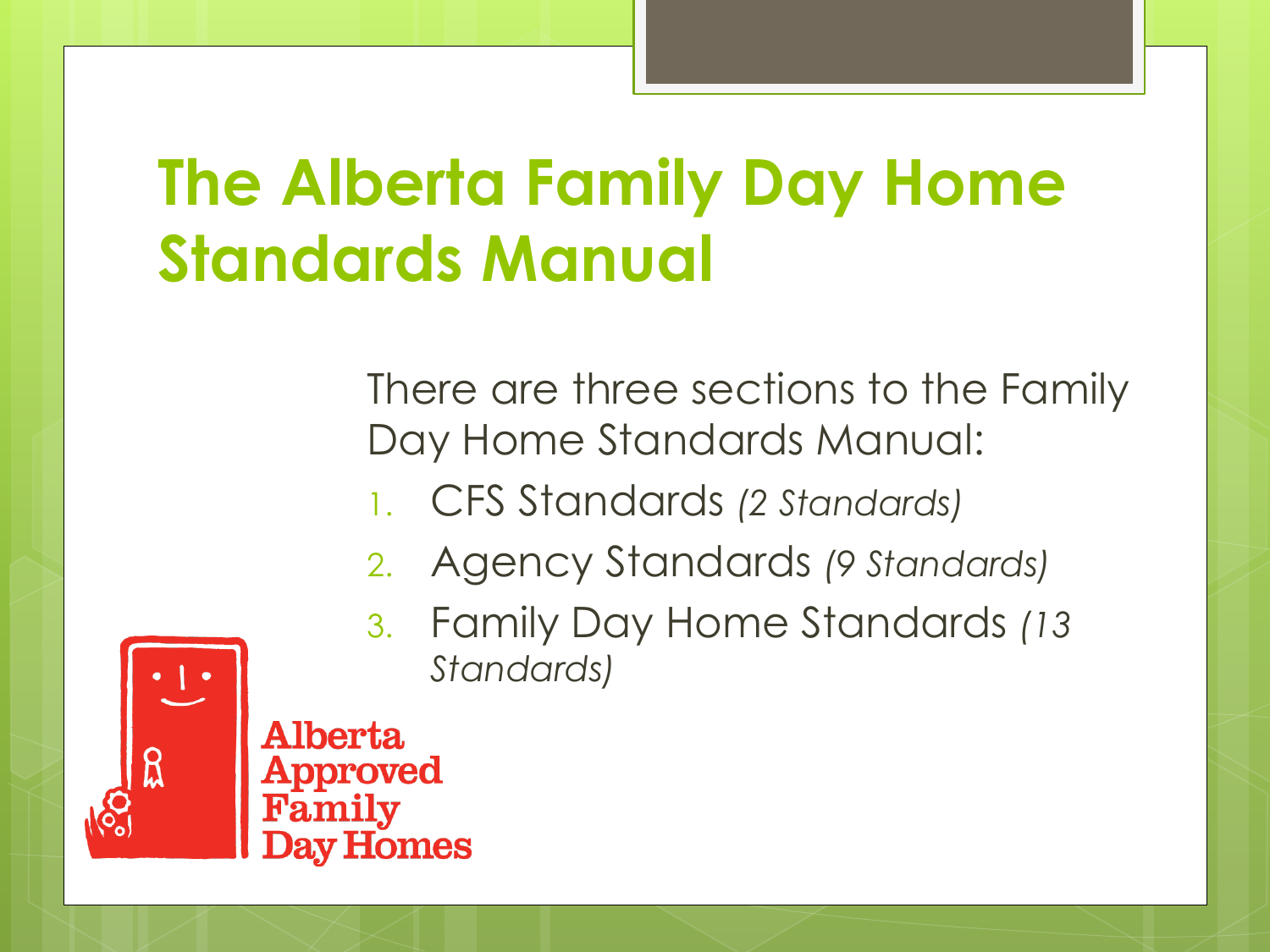### **The Alberta Family Day Home Standards Manual**

There are three sections to the Family Day Home Standards Manual:

- 1. CFS Standards *(2 Standards)*
- 2. Agency Standards *(9 Standards)*
- 3. Family Day Home Standards *(13 Standards)*

A Iberta. Approved v Homes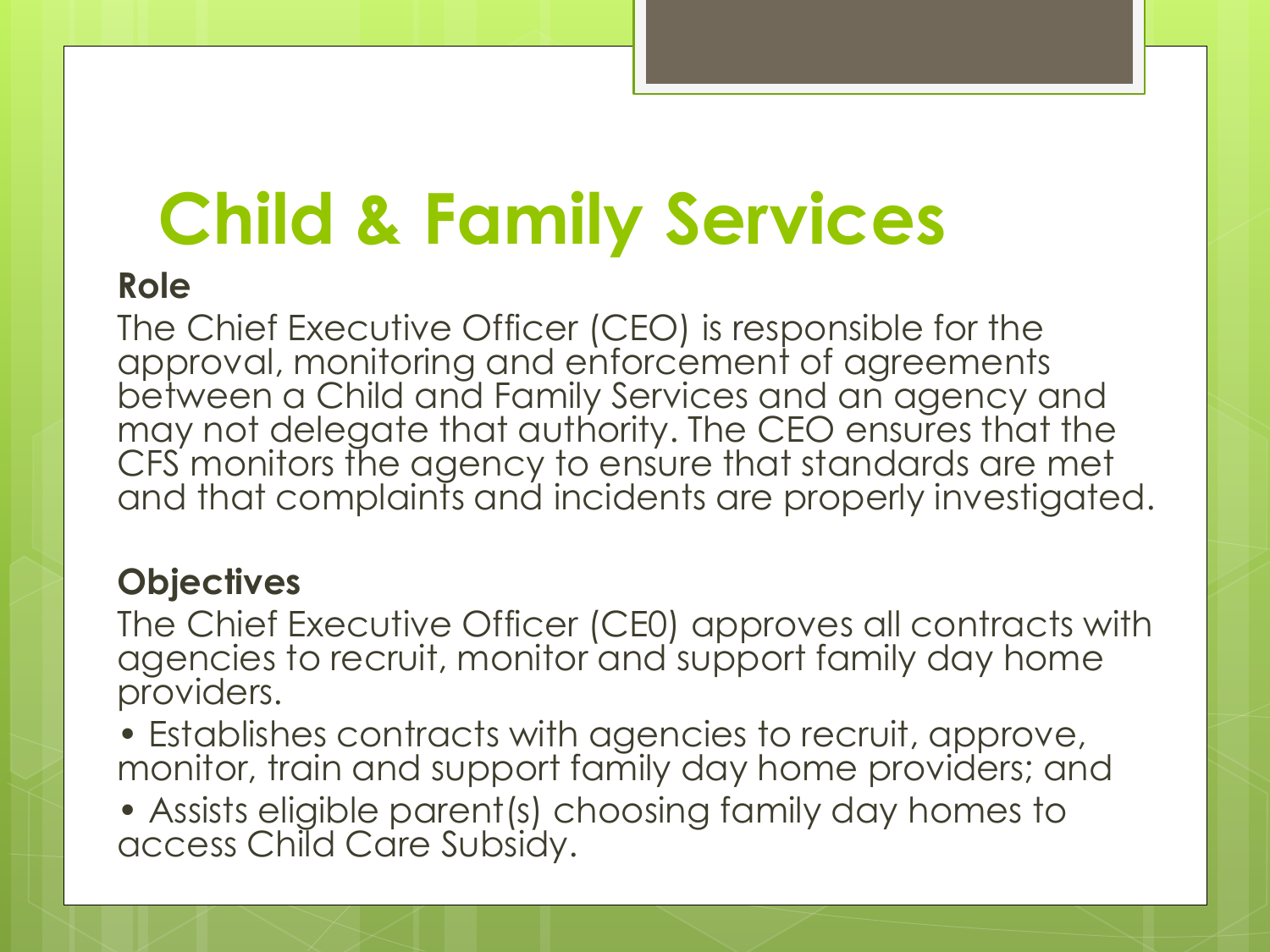# **Child & Family Services**

#### **Role**

The Chief Executive Officer (CEO) is responsible for the approval, monitoring and enforcement of agreements between a Child and Family Services and an agency and may not delegate that authority. The CEO ensures that the CFS monitors the agency to ensure that standards are met and that complaints and incidents are properly investigated.

### **Objectives**

The Chief Executive Officer (CE0) approves all contracts with agencies to recruit, monitor and support family day home providers.

- Establishes contracts with agencies to recruit, approve, monitor, train and support family day home providers; and
- Assists eligible parent(s) choosing family day homes to access Child Care Subsidy.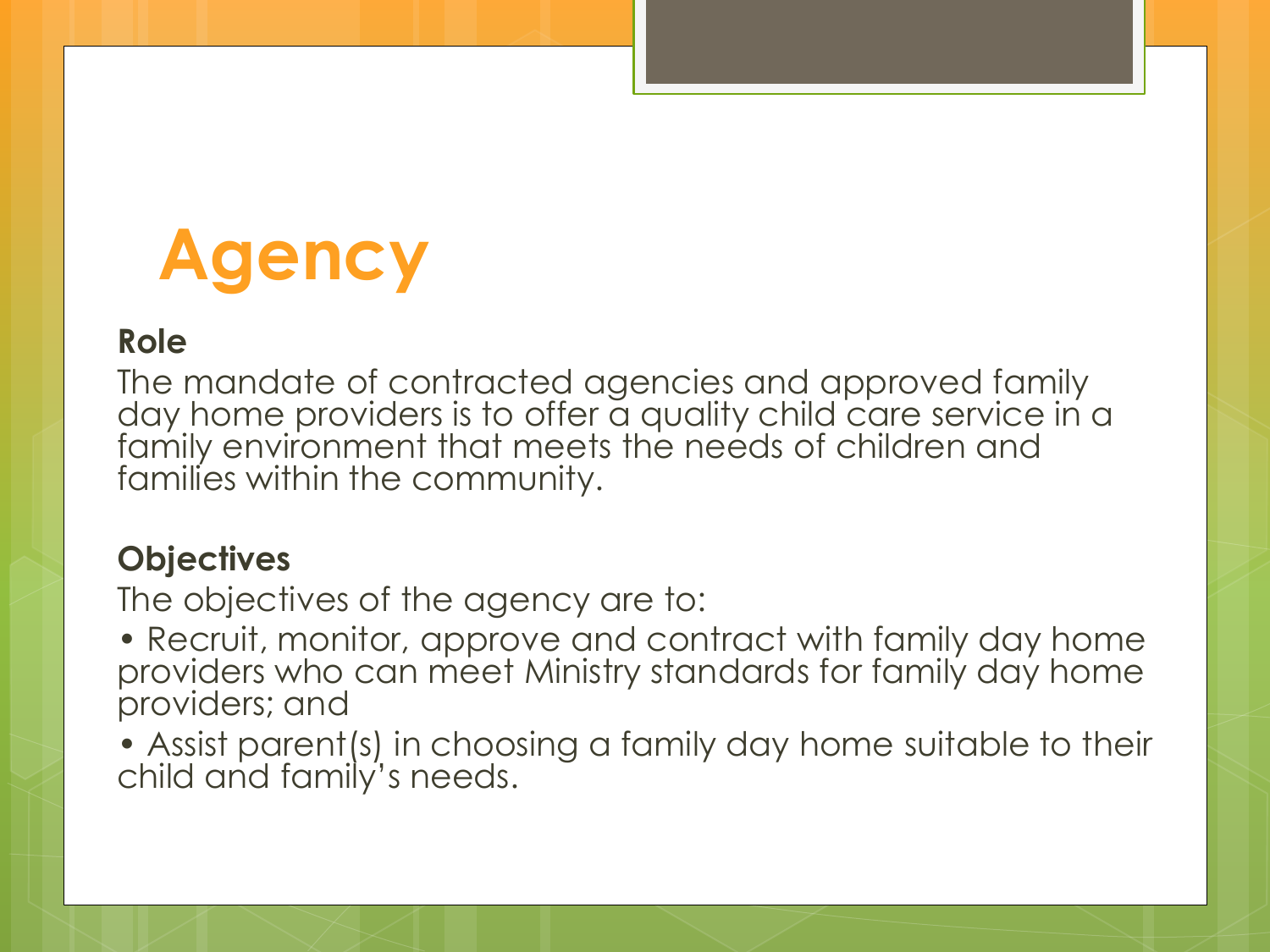## **Agency**

#### **Role**

The mandate of contracted agencies and approved family day home providers is to offer a quality child care service in a family environment that meets the needs of children and families within the community.

#### **Objectives**

The objectives of the agency are to:

• Recruit, monitor, approve and contract with family day home providers who can meet Ministry standards for family day home providers; and

• Assist parent(s) in choosing a family day home suitable to their child and family's needs.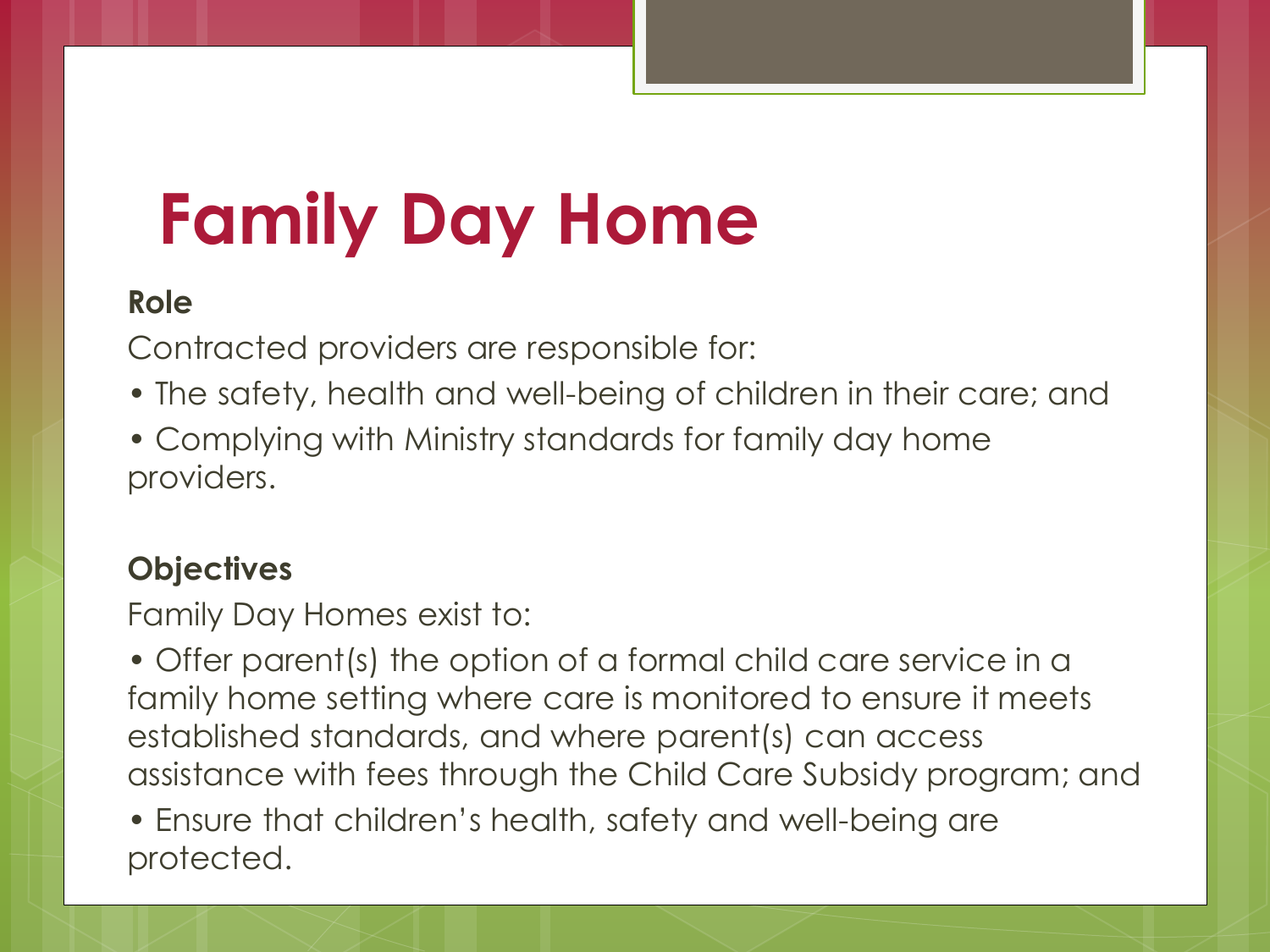# **Family Day Home**

#### **Role**

Contracted providers are responsible for:

- The safety, health and well-being of children in their care; and
- Complying with Ministry standards for family day home providers.

### **Objectives**

Family Day Homes exist to:

• Offer parent(s) the option of a formal child care service in a family home setting where care is monitored to ensure it meets established standards, and where parent(s) can access assistance with fees through the Child Care Subsidy program; and

• Ensure that children's health, safety and well-being are protected.